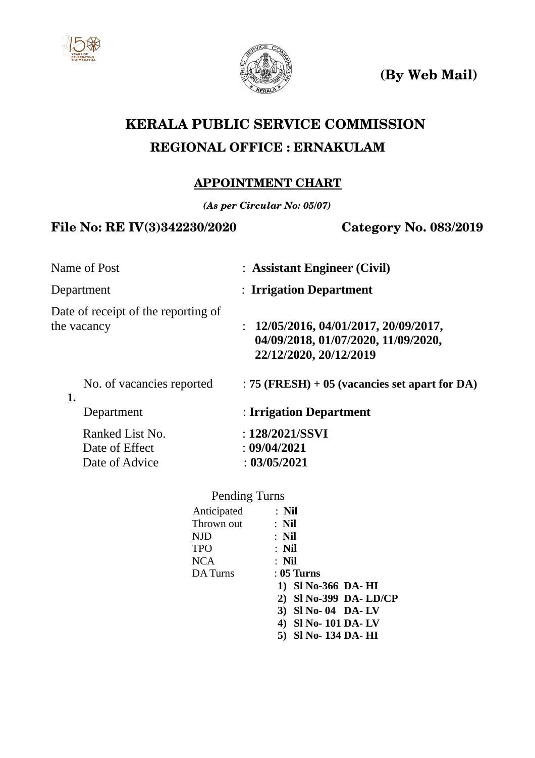



**(By Web Mail)**

# **KERALA PUBLIC SERVICE COMMISSION REGIONAL OFFICE : ERNAKULAM**

## **APPOINTMENT CHART**

*(As per Circular No: 05/07)*

## File No: RE IV(3)342230/2020 **Category No. 083/2019**

| : Assistant Engineer (Civil)                                                                         |
|------------------------------------------------------------------------------------------------------|
| : Irrigation Department                                                                              |
| 12/05/2016, 04/01/2017, 20/09/2017,<br>04/09/2018, 01/07/2020, 11/09/2020,<br>22/12/2020, 20/12/2019 |
| $: 75$ (FRESH) + 05 (vacancies set apart for DA)                                                     |
| : Irrigation Department                                                                              |
| : $128/2021/SSVI$<br>: 09/04/2021<br>: 03/05/2021                                                    |
|                                                                                                      |

| <b>Pending Turns</b> |                       |
|----------------------|-----------------------|
| Anticipated          | $:$ Nil               |
| Thrown out           | $:$ Nil               |
| <b>NJD</b>           | $:$ Nil               |
| <b>TPO</b>           | $:$ Nil               |
| <b>NCA</b>           | $:$ Nil               |
| DA Turns             | : 05 Turns            |
|                      | 1) SI No-366 DA-HI    |
|                      | 2) SI No-399 DA-LD/CP |
|                      | 3) SI No-04 DA-LV     |
|                      | 4) SI No-101 DA-LV    |
|                      | Sl No- 134 DA- HI     |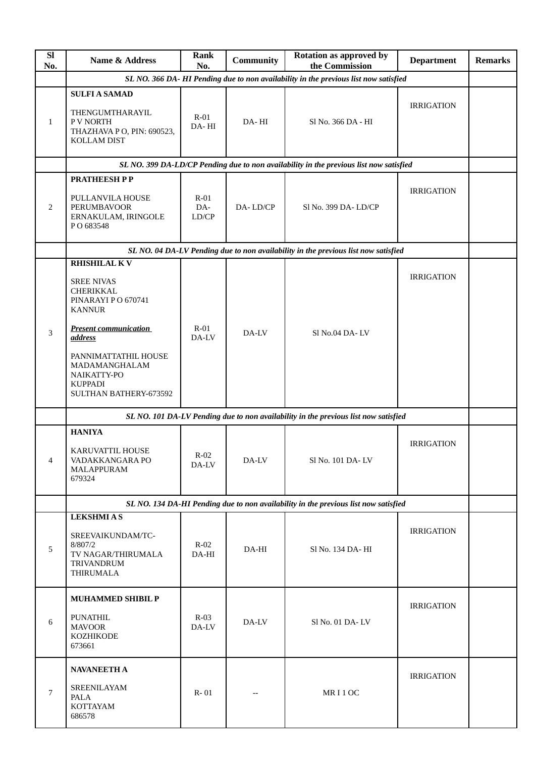| <b>SI</b><br>No. | <b>Name &amp; Address</b>                                                                         | <b>Rank</b><br>No.     | <b>Community</b> | <b>Rotation as approved by</b><br>the Commission                                       | <b>Department</b> | <b>Remarks</b> |
|------------------|---------------------------------------------------------------------------------------------------|------------------------|------------------|----------------------------------------------------------------------------------------|-------------------|----------------|
|                  |                                                                                                   |                        |                  | SL NO. 366 DA- HI Pending due to non availability in the previous list now satisfied   |                   |                |
| 1                | <b>SULFI A SAMAD</b><br>THENGUMTHARAYIL<br>P V NORTH<br>THAZHAVA P O, PIN: 690523,<br>KOLLAM DIST | $R-01$<br>DA-HI        | DA-HI            | Sl No. 366 DA - HI                                                                     | <b>IRRIGATION</b> |                |
|                  |                                                                                                   |                        |                  | SL NO. 399 DA-LD/CP Pending due to non availability in the previous list now satisfied |                   |                |
|                  | <b>PRATHEESH PP</b>                                                                               |                        |                  |                                                                                        |                   |                |
| 2                | PULLANVILA HOUSE<br><b>PERUMBAVOOR</b><br>ERNAKULAM, IRINGOLE<br>PO 683548                        | $R-01$<br>DA-<br>LD/CP | DA-LD/CP         | Sl No. 399 DA-LD/CP                                                                    | <b>IRRIGATION</b> |                |
|                  |                                                                                                   |                        |                  | SL NO. 04 DA-LV Pending due to non availability in the previous list now satisfied     |                   |                |
|                  | <b>RHISHILAL KV</b>                                                                               |                        |                  |                                                                                        |                   |                |
|                  | <b>SREE NIVAS</b><br><b>CHERIKKAL</b><br>PINARAYI PO 670741<br><b>KANNUR</b>                      |                        |                  |                                                                                        | <b>IRRIGATION</b> |                |
| 3                | <b>Present communication</b><br>address                                                           | $R-01$<br>DA-LV        | DA-LV            | Sl No.04 DA-LV                                                                         |                   |                |
|                  | PANNIMATTATHIL HOUSE<br>MADAMANGHALAM<br>NAIKATTY-PO<br><b>KUPPADI</b><br>SULTHAN BATHERY-673592  |                        |                  |                                                                                        |                   |                |
|                  |                                                                                                   |                        |                  | SL NO. 101 DA-LV Pending due to non availability in the previous list now satisfied    |                   |                |
|                  | <b>HANIYA</b>                                                                                     |                        |                  |                                                                                        |                   |                |
| $\overline{4}$   | KARUVATTIL HOUSE<br>VADAKKANGARA PO<br>MALAPPURAM<br>679324                                       | $R-02$<br>DA-LV        | DA-LV            | Sl No. 101 DA-LV                                                                       | <b>IRRIGATION</b> |                |
|                  |                                                                                                   |                        |                  | SL NO. 134 DA-HI Pending due to non availability in the previous list now satisfied    |                   |                |
|                  | <b>LEKSHMIAS</b>                                                                                  |                        |                  |                                                                                        |                   |                |
| 5                | SREEVAIKUNDAM/TC-<br>8/807/2<br>TV NAGAR/THIRUMALA<br>TRIVANDRUM<br>THIRUMALA                     | $R-02$<br>DA-HI        | DA-HI            | Sl No. 134 DA- HI                                                                      | <b>IRRIGATION</b> |                |
|                  | <b>MUHAMMED SHIBIL P</b>                                                                          |                        |                  |                                                                                        |                   |                |
| 6                | <b>PUNATHIL</b><br><b>MAVOOR</b><br>KOZHIKODE<br>673661                                           | $R-03$<br>DA-LV        | DA-LV            | Sl No. 01 DA-LV                                                                        | <b>IRRIGATION</b> |                |
|                  | <b>NAVANEETH A</b>                                                                                |                        |                  |                                                                                        |                   |                |
| $\overline{7}$   | SREENILAYAM<br>PALA<br><b>KOTTAYAM</b><br>686578                                                  | $R - 01$               |                  | MRI1OC                                                                                 | <b>IRRIGATION</b> |                |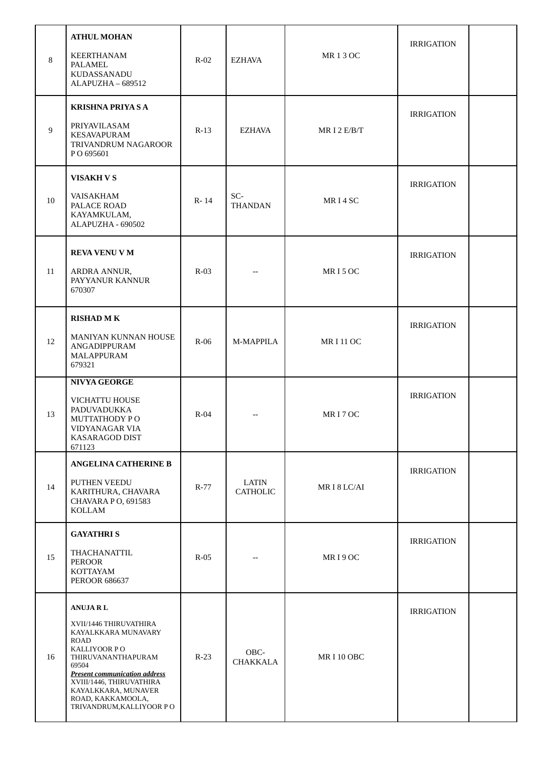| 8  | <b>ATHUL MOHAN</b><br>KEERTHANAM<br>PALAMEL<br>KUDASSANADU<br>ALAPUZHA - 689512                                                                                                                                                                                    | $R-02$ | EZHAVA                   | <b>MR13OC</b>       | <b>IRRIGATION</b> |  |
|----|--------------------------------------------------------------------------------------------------------------------------------------------------------------------------------------------------------------------------------------------------------------------|--------|--------------------------|---------------------|-------------------|--|
| 9  | <b>KRISHNA PRIYA S A</b><br>PRIYAVILASAM<br><b>KESAVAPURAM</b><br>TRIVANDRUM NAGAROOR<br>PO 695601                                                                                                                                                                 | $R-13$ | <b>EZHAVA</b>            | MRI 2 $E/B/T$       | <b>IRRIGATION</b> |  |
| 10 | <b>VISAKH V S</b><br><b>VAISAKHAM</b><br>PALACE ROAD<br>KAYAMKULAM,<br>ALAPUZHA - 690502                                                                                                                                                                           | R-14   | SC-<br><b>THANDAN</b>    | MR <sub>I</sub> 4SC | <b>IRRIGATION</b> |  |
| 11 | <b>REVA VENU V M</b><br>ARDRA ANNUR,<br>PAYYANUR KANNUR<br>670307                                                                                                                                                                                                  | $R-03$ | $-$                      | MRI5OC              | <b>IRRIGATION</b> |  |
| 12 | <b>RISHAD MK</b><br>MANIYAN KUNNAN HOUSE<br>ANGADIPPURAM<br>MALAPPURAM<br>679321                                                                                                                                                                                   | $R-06$ | M-MAPPILA                | <b>MRI11OC</b>      | <b>IRRIGATION</b> |  |
| 13 | <b>NIVYA GEORGE</b><br>VICHATTU HOUSE<br>PADUVADUKKA<br><b>MUTTATHODY PO</b><br>VIDYANAGAR VIA<br>KASARAGOD DIST<br>671123                                                                                                                                         | $R-04$ |                          | MRI7OC              | <b>IRRIGATION</b> |  |
| 14 | <b>ANGELINA CATHERINE B</b><br>PUTHEN VEEDU<br>KARITHURA, CHAVARA<br>CHAVARA P O, 691583<br>KOLLAM                                                                                                                                                                 | $R-77$ | LATIN<br><b>CATHOLIC</b> | MRI8LC/AI           | <b>IRRIGATION</b> |  |
| 15 | <b>GAYATHRIS</b><br>THACHANATTIL<br><b>PEROOR</b><br><b>KOTTAYAM</b><br><b>PEROOR 686637</b>                                                                                                                                                                       | $R-05$ |                          | MRI9OC              | <b>IRRIGATION</b> |  |
| 16 | <b>ANUJARL</b><br>XVII/1446 THIRUVATHIRA<br>KAYALKKARA MUNAVARY<br>ROAD<br>KALLIYOOR PO<br>THIRUVANANTHAPURAM<br>69504<br><b>Present communication address</b><br>XVIII/1446, THIRUVATHIRA<br>KAYALKKARA, MUNAVER<br>ROAD, KAKKAMOOLA,<br>TRIVANDRUM, KALLIYOOR PO | $R-23$ | OBC-<br>CHAKKALA         | MRI 10 OBC          | <b>IRRIGATION</b> |  |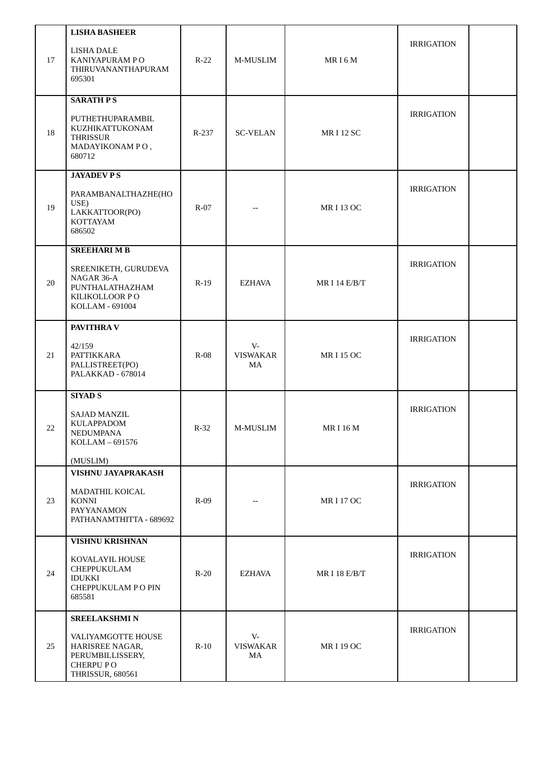| 17 | <b>LISHA BASHEER</b><br><b>LISHA DALE</b><br>KANIYAPURAM PO<br>THIRUVANANTHAPURAM<br>695301                              | $R-22$  | M-MUSLIM                       | MR <sub>I6</sub> M | <b>IRRIGATION</b> |  |
|----|--------------------------------------------------------------------------------------------------------------------------|---------|--------------------------------|--------------------|-------------------|--|
| 18 | <b>SARATH PS</b><br>PUTHETHUPARAMBIL<br>KUZHIKATTUKONAM<br><b>THRISSUR</b><br>MADAYIKONAM PO,<br>680712                  | $R-237$ | <b>SC-VELAN</b>                | <b>MRI12 SC</b>    | <b>IRRIGATION</b> |  |
| 19 | <b>JAYADEVPS</b><br>PARAMBANALTHAZHE(HO<br>USE)<br>LAKKATTOOR(PO)<br>KOTTAYAM<br>686502                                  | $R-07$  |                                | <b>MRI 13 OC</b>   | <b>IRRIGATION</b> |  |
| 20 | <b>SREEHARI M B</b><br>SREENIKETH, GURUDEVA<br>NAGAR 36-A<br>PUNTHALATHAZHAM<br>KILIKOLLOOR PO<br>KOLLAM - 691004        | $R-19$  | <b>EZHAVA</b>                  | MR I 14 E/B/T      | <b>IRRIGATION</b> |  |
| 21 | PAVITHRA V<br>42/159<br><b>PATTIKKARA</b><br>PALLISTREET(PO)<br>PALAKKAD - 678014                                        | $R-08$  | $V -$<br><b>VISWAKAR</b><br>MA | <b>MRI15OC</b>     | <b>IRRIGATION</b> |  |
| 22 | <b>SIYAD S</b><br><b>SAJAD MANZIL</b><br>KULAPPADOM<br>NEDUMPANA<br>KOLLAM - 691576<br>(MUSLIM)                          | $R-32$  | M-MUSLIM                       | MR I 16 M          | <b>IRRIGATION</b> |  |
| 23 | VISHNU JAYAPRAKASH<br>MADATHIL KOICAL<br>KONNI<br>PAYYANAMON<br>PATHANAMTHITTA - 689692                                  | $R-09$  |                                | <b>MRI17OC</b>     | <b>IRRIGATION</b> |  |
| 24 | <b>VISHNU KRISHNAN</b><br>KOVALAYIL HOUSE<br>CHEPPUKULAM<br><b>IDUKKI</b><br>CHEPPUKULAM PO PIN<br>685581                | $R-20$  | <b>EZHAVA</b>                  | MR I 18 E/B/T      | <b>IRRIGATION</b> |  |
| 25 | SREELAKSHMI N<br>VALIYAMGOTTE HOUSE<br>HARISREE NAGAR,<br>PERUMBILLISSERY,<br><b>CHERPUPO</b><br><b>THRISSUR, 680561</b> | $R-10$  | $V -$<br><b>VISWAKAR</b><br>MA | <b>MRI 19 OC</b>   | <b>IRRIGATION</b> |  |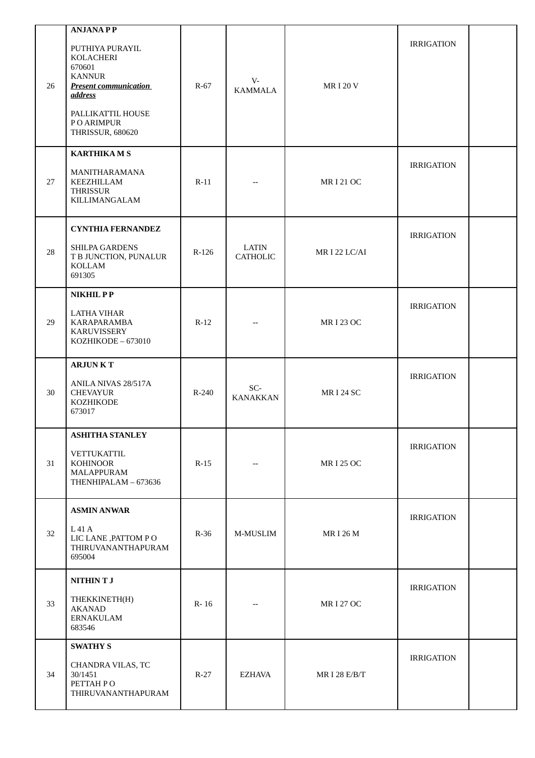|    | <b>ANJANAPP</b>                                                                                                                                            |         |                          |                  |                   |  |
|----|------------------------------------------------------------------------------------------------------------------------------------------------------------|---------|--------------------------|------------------|-------------------|--|
| 26 | PUTHIYA PURAYIL<br>KOLACHERI<br>670601<br><b>KANNUR</b><br><b>Present communication</b><br>address<br>PALLIKATTIL HOUSE<br>P O ARIMPUR<br>THRISSUR, 680620 | $R-67$  | $V -$<br><b>KAMMALA</b>  | <b>MRI20V</b>    | <b>IRRIGATION</b> |  |
|    | <b>KARTHIKAMS</b>                                                                                                                                          |         |                          |                  |                   |  |
| 27 | MANITHARAMANA<br>KEEZHILLAM<br><b>THRISSUR</b><br>KILLIMANGALAM                                                                                            | $R-11$  |                          | <b>MRI21OC</b>   | <b>IRRIGATION</b> |  |
|    | <b>CYNTHIA FERNANDEZ</b>                                                                                                                                   |         |                          |                  |                   |  |
| 28 | SHILPA GARDENS<br>T B JUNCTION, PUNALUR<br>KOLLAM<br>691305                                                                                                | $R-126$ | LATIN<br><b>CATHOLIC</b> | MRI 22 LC/AI     | <b>IRRIGATION</b> |  |
|    | NIKHIL PP                                                                                                                                                  |         |                          |                  |                   |  |
| 29 | <b>LATHA VIHAR</b><br>KARAPARAMBA<br><b>KARUVISSERY</b><br>KOZHIKODE - 673010                                                                              | $R-12$  |                          | <b>MRI 23 OC</b> | <b>IRRIGATION</b> |  |
|    | <b>ARJUNKT</b>                                                                                                                                             |         |                          |                  |                   |  |
| 30 | ANILA NIVAS 28/517A<br><b>CHEVAYUR</b><br>KOZHIKODE<br>673017                                                                                              | R-240   | SC-<br><b>KANAKKAN</b>   | <b>MRI 24 SC</b> | <b>IRRIGATION</b> |  |
|    | <b>ASHITHA STANLEY</b>                                                                                                                                     |         |                          |                  |                   |  |
| 31 | <b>VETTUKATTIL</b><br><b>KOHINOOR</b><br>MALAPPURAM<br>THENHIPALAM - 673636                                                                                | $R-15$  |                          | <b>MRI 25 OC</b> | <b>IRRIGATION</b> |  |
|    | <b>ASMIN ANWAR</b>                                                                                                                                         |         |                          |                  |                   |  |
| 32 | L 41 A<br>LIC LANE , PATTOM PO<br>THIRUVANANTHAPURAM<br>695004                                                                                             | $R-36$  | M-MUSLIM                 | <b>MRI26M</b>    | <b>IRRIGATION</b> |  |
|    | NITHIN T J                                                                                                                                                 |         |                          |                  |                   |  |
| 33 | THEKKINETH(H)<br><b>AKANAD</b><br><b>ERNAKULAM</b><br>683546                                                                                               | R-16    |                          | <b>MRI 27 OC</b> | <b>IRRIGATION</b> |  |
|    | <b>SWATHY S</b>                                                                                                                                            |         |                          |                  |                   |  |
| 34 | CHANDRA VILAS, TC<br>30/1451<br>PETTAH PO<br>THIRUVANANTHAPURAM                                                                                            | $R-27$  | <b>EZHAVA</b>            | MR I 28 E/B/T    | <b>IRRIGATION</b> |  |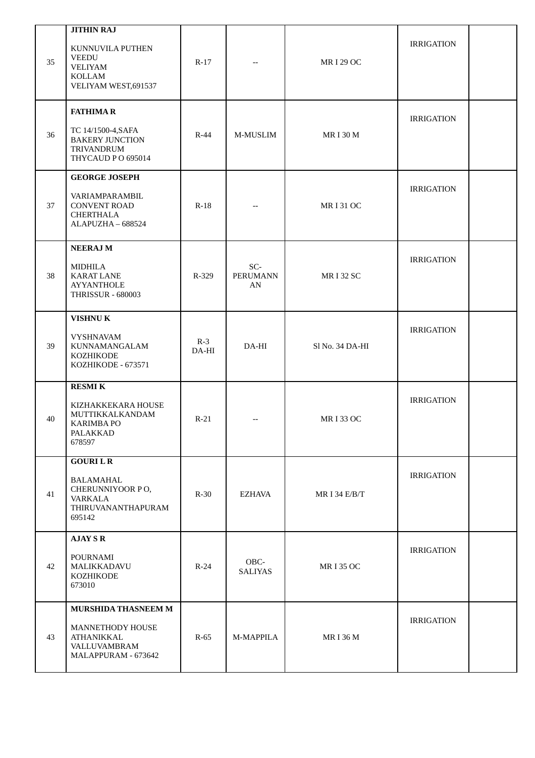| 35 | <b>JITHIN RAJ</b><br>KUNNUVILA PUTHEN<br><b>VEEDU</b><br><b>VELIYAM</b><br><b>KOLLAM</b><br>VELIYAM WEST, 691537 | $R-17$         |                              | <b>MRI 29 OC</b> | <b>IRRIGATION</b> |  |
|----|------------------------------------------------------------------------------------------------------------------|----------------|------------------------------|------------------|-------------------|--|
| 36 | <b>FATHIMAR</b><br>TC 14/1500-4, SAFA<br><b>BAKERY JUNCTION</b><br>TRIVANDRUM<br>THYCAUD PO 695014               | $R-44$         | M-MUSLIM                     | <b>MRI30M</b>    | <b>IRRIGATION</b> |  |
| 37 | <b>GEORGE JOSEPH</b><br>VARIAMPARAMBIL<br><b>CONVENT ROAD</b><br>CHERTHALA<br>ALAPUZHA - 688524                  | $R-18$         |                              | <b>MRI31OC</b>   | <b>IRRIGATION</b> |  |
| 38 | <b>NEERAJM</b><br><b>MIDHILA</b><br><b>KARAT LANE</b><br><b>AYYANTHOLE</b><br><b>THRISSUR - 680003</b>           | R-329          | SC-<br><b>PERUMANN</b><br>AN | <b>MRI32 SC</b>  | <b>IRRIGATION</b> |  |
| 39 | <b>VISHNUK</b><br><b>VYSHNAVAM</b><br>KUNNAMANGALAM<br><b>KOZHIKODE</b><br>KOZHIKODE - 673571                    | $R-3$<br>DA-HI | $DA-HI$                      | Sl No. 34 DA-HI  | <b>IRRIGATION</b> |  |
| 40 | <b>RESMIK</b><br>KIZHAKKEKARA HOUSE<br>MUTTIKKALKANDAM<br><b>KARIMBA PO</b><br>PALAKKAD<br>678597                | $R-21$         | $\overline{\phantom{a}}$     | <b>MRI33 OC</b>  | <b>IRRIGATION</b> |  |
| 41 | <b>GOURILR</b><br>BALAMAHAL<br>CHERUNNIYOOR PO,<br><b>VARKALA</b><br>THIRUVANANTHAPURAM<br>695142                | $R-30$         | EZHAVA                       | MR I 34 $E/B/T$  | <b>IRRIGATION</b> |  |
| 42 | <b>AJAY S R</b><br>POURNAMI<br>MALIKKADAVU<br><b>KOZHIKODE</b><br>673010                                         | $R-24$         | OBC-<br><b>SALIYAS</b>       | <b>MRI35 OC</b>  | <b>IRRIGATION</b> |  |
| 43 | <b>MURSHIDA THASNEEM M</b><br>MANNETHODY HOUSE<br><b>ATHANIKKAL</b><br>VALLUVAMBRAM<br>MALAPPURAM - 673642       | $R-65$         | M-MAPPILA                    | MR I 36 M        | <b>IRRIGATION</b> |  |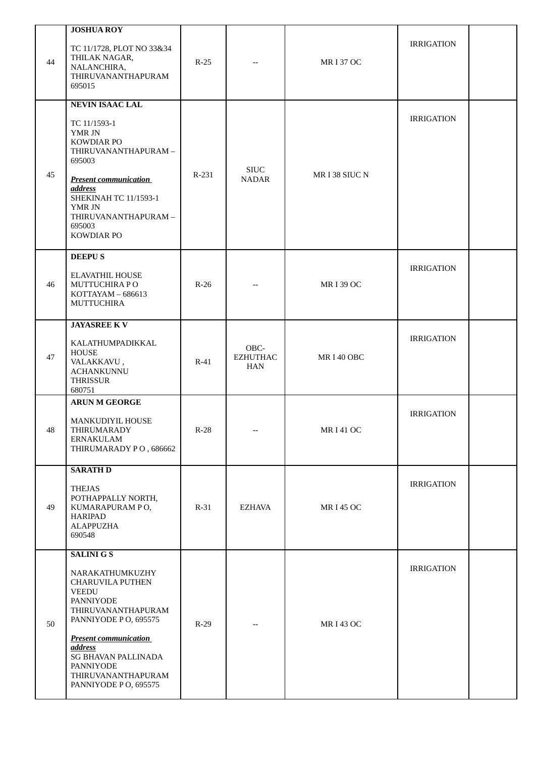| TC 11/1728, PLOT NO 33&34                                                                                                                                                                                                                                               |                                            |                                       |                 |                   |  |
|-------------------------------------------------------------------------------------------------------------------------------------------------------------------------------------------------------------------------------------------------------------------------|--------------------------------------------|---------------------------------------|-----------------|-------------------|--|
| THILAK NAGAR,<br>NALANCHIRA,<br>THIRUVANANTHAPURAM<br>695015                                                                                                                                                                                                            | $R-25$                                     |                                       | <b>MRI37 OC</b> | <b>IRRIGATION</b> |  |
| <b>NEVIN ISAAC LAL</b>                                                                                                                                                                                                                                                  |                                            |                                       |                 |                   |  |
| TC 11/1593-1<br>YMR JN<br>KOWDIAR PO<br>THIRUVANANTHAPURAM-<br>695003<br><b>Present communication</b><br><b>address</b><br>SHEKINAH TC 11/1593-1<br>YMR JN<br>THIRUVANANTHAPURAM-<br>695003                                                                             | R-231                                      | <b>SIUC</b><br><b>NADAR</b>           | MR I 38 SIUC N  | <b>IRRIGATION</b> |  |
|                                                                                                                                                                                                                                                                         |                                            |                                       |                 |                   |  |
| <b>DEEPUS</b><br><b>ELAVATHIL HOUSE</b><br>MUTTUCHIRA PO<br>KOTTAYAM - 686613<br><b>MUTTUCHIRA</b>                                                                                                                                                                      | $R-26$                                     |                                       | <b>MRI39 OC</b> | <b>IRRIGATION</b> |  |
|                                                                                                                                                                                                                                                                         |                                            |                                       |                 |                   |  |
| KALATHUMPADIKKAL<br><b>HOUSE</b><br>VALAKKAVU,<br><b>ACHANKUNNU</b><br><b>THRISSUR</b>                                                                                                                                                                                  | $R-41$                                     | OBC-<br><b>EZHUTHAC</b><br><b>HAN</b> | MRI40 OBC       | <b>IRRIGATION</b> |  |
| <b>ARUN M GEORGE</b>                                                                                                                                                                                                                                                    |                                            |                                       |                 |                   |  |
| MANKUDIYIL HOUSE<br>THIRUMARADY<br>ERNAKULAM<br>THIRUMARADY PO, 686662                                                                                                                                                                                                  | $R-28$                                     |                                       | <b>MRI41OC</b>  | <b>IRRIGATION</b> |  |
| <b>SARATH D</b>                                                                                                                                                                                                                                                         |                                            |                                       |                 |                   |  |
| <b>THEJAS</b><br>POTHAPPALLY NORTH,<br>KUMARAPURAM PO,<br><b>HARIPAD</b><br><b>ALAPPUZHA</b><br>690548                                                                                                                                                                  | $R-31$                                     | <b>EZHAVA</b>                         | <b>MRI45 OC</b> | <b>IRRIGATION</b> |  |
| <b>SALINI G S</b>                                                                                                                                                                                                                                                       |                                            |                                       |                 |                   |  |
| NARAKATHUMKUZHY<br><b>CHARUVILA PUTHEN</b><br><b>VEEDU</b><br><b>PANNIYODE</b><br>THIRUVANANTHAPURAM<br>PANNIYODE PO, 695575<br><b>Present communication</b><br><b>address</b><br><b>SG BHAVAN PALLINADA</b><br>PANNIYODE<br>THIRUVANANTHAPURAM<br>PANNIYODE PO, 695575 | $R-29$                                     |                                       | <b>MRI43 OC</b> | <b>IRRIGATION</b> |  |
|                                                                                                                                                                                                                                                                         | KOWDIAR PO<br><b>JAYASREE KV</b><br>680751 |                                       |                 |                   |  |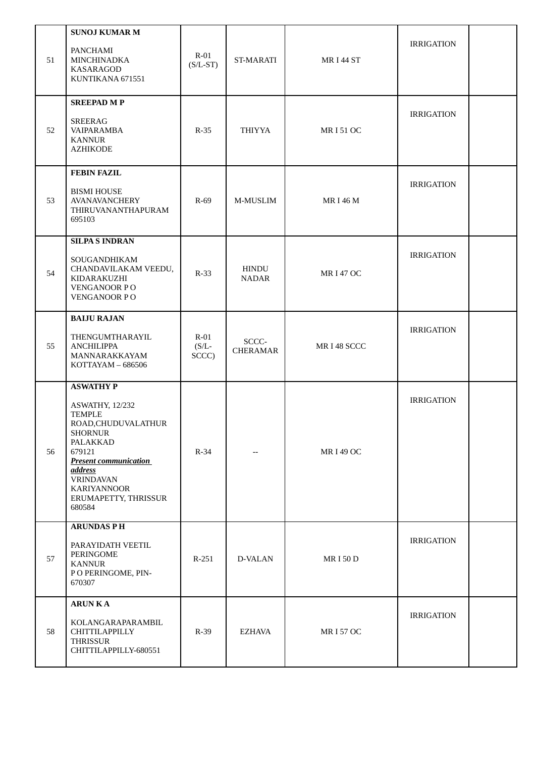| 51 | <b>SUNOJ KUMAR M</b><br>PANCHAMI<br>MINCHINADKA<br>KASARAGOD<br>KUNTIKANA 671551                                                                                                                                                                  | $R-01$<br>$(S/L-ST)$        | ST-MARATI                | <b>MRI44 ST</b> | <b>IRRIGATION</b> |  |
|----|---------------------------------------------------------------------------------------------------------------------------------------------------------------------------------------------------------------------------------------------------|-----------------------------|--------------------------|-----------------|-------------------|--|
| 52 | <b>SREEPAD MP</b><br><b>SREERAG</b><br><b>VAIPARAMBA</b><br><b>KANNUR</b><br><b>AZHIKODE</b>                                                                                                                                                      | $R-35$                      | <b>THIYYA</b>            | <b>MRI51OC</b>  | <b>IRRIGATION</b> |  |
| 53 | <b>FEBIN FAZIL</b><br><b>BISMI HOUSE</b><br><b>AVANAVANCHERY</b><br>THIRUVANANTHAPURAM<br>695103                                                                                                                                                  | $R-69$                      | M-MUSLIM                 | <b>MRI46M</b>   | <b>IRRIGATION</b> |  |
| 54 | <b>SILPAS INDRAN</b><br>SOUGANDHIKAM<br>CHANDAVILAKAM VEEDU,<br>KIDARAKUZHI<br>VENGANOOR PO<br><b>VENGANOOR PO</b>                                                                                                                                | $R-33$                      | HINDU<br><b>NADAR</b>    | <b>MRI47 OC</b> | <b>IRRIGATION</b> |  |
| 55 | <b>BAIJU RAJAN</b><br>THENGUMTHARAYIL<br><b>ANCHILIPPA</b><br>MANNARAKKAYAM<br>KOTTAYAM - 686506                                                                                                                                                  | $R-01$<br>$(S/L -$<br>SCCC) | SCCC-<br><b>CHERAMAR</b> | MR I 48 SCCC    | <b>IRRIGATION</b> |  |
| 56 | <b>ASWATHY P</b><br>ASWATHY, 12/232<br><b>TEMPLE</b><br>ROAD, CHUDUVALATHUR<br><b>SHORNUR</b><br>PALAKKAD<br>679121<br><b>Present communication</b><br><i>address</i><br><b>VRINDAVAN</b><br><b>KARIYANNOOR</b><br>ERUMAPETTY, THRISSUR<br>680584 | $R-34$                      |                          | <b>MRI49 OC</b> | <b>IRRIGATION</b> |  |
| 57 | <b>ARUNDAS PH</b><br>PARAYIDATH VEETIL<br>PERINGOME<br><b>KANNUR</b><br>P O PERINGOME, PIN-<br>670307                                                                                                                                             | $R-251$                     | D-VALAN                  | <b>MRI50D</b>   | <b>IRRIGATION</b> |  |
| 58 | <b>ARUN KA</b><br>KOLANGARAPARAMBIL<br><b>CHITTILAPPILLY</b><br><b>THRISSUR</b><br>CHITTILAPPILLY-680551                                                                                                                                          | $R-39$                      | <b>EZHAVA</b>            | <b>MRI57OC</b>  | <b>IRRIGATION</b> |  |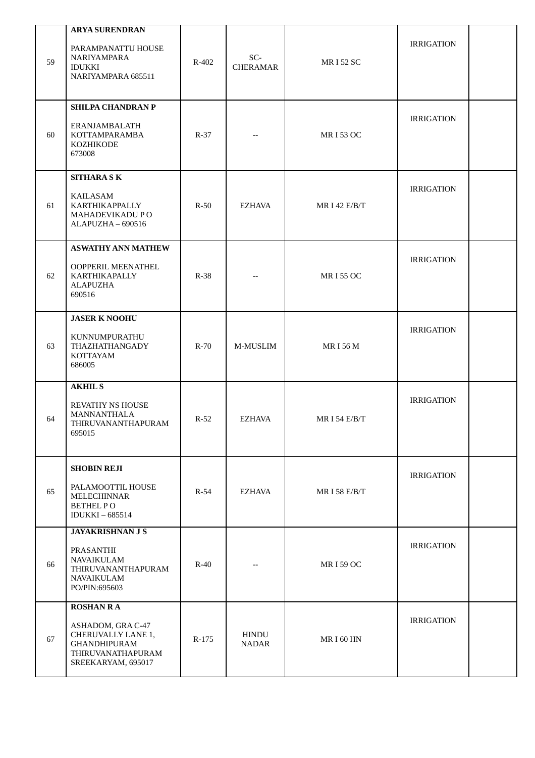| 59 | <b>ARYA SURENDRAN</b><br>PARAMPANATTU HOUSE<br>NARIYAMPARA<br><b>IDUKKI</b><br>NARIYAMPARA 685511                             | R-402   | SC-<br><b>CHERAMAR</b>       | <b>MRI52 SC</b> | <b>IRRIGATION</b> |  |
|----|-------------------------------------------------------------------------------------------------------------------------------|---------|------------------------------|-----------------|-------------------|--|
| 60 | <b>SHILPA CHANDRAN P</b><br>ERANJAMBALATH<br>KOTTAMPARAMBA<br><b>KOZHIKODE</b><br>673008                                      | $R-37$  |                              | <b>MRI53 OC</b> | <b>IRRIGATION</b> |  |
| 61 | <b>SITHARA SK</b><br>KAILASAM<br>KARTHIKAPPALLY<br>MAHADEVIKADU PO<br>ALAPUZHA - 690516                                       | $R-50$  | <b>EZHAVA</b>                | MR I 42 E/B/T   | <b>IRRIGATION</b> |  |
| 62 | <b>ASWATHY ANN MATHEW</b><br>OOPPERIL MEENATHEL<br><b>KARTHIKAPALLY</b><br><b>ALAPUZHA</b><br>690516                          | $R-38$  |                              | <b>MRI55 OC</b> | <b>IRRIGATION</b> |  |
| 63 | <b>JASER K NOOHU</b><br>KUNNUMPURATHU<br>THAZHATHANGADY<br>KOTTAYAM<br>686005                                                 | $R-70$  | M-MUSLIM                     | <b>MRI56M</b>   | <b>IRRIGATION</b> |  |
| 64 | <b>AKHIL S</b><br>REVATHY NS HOUSE<br>MANNANTHALA<br>THIRUVANANTHAPURAM<br>695015                                             | $R-52$  | <b>EZHAVA</b>                | MR I 54 E/B/T   | <b>IRRIGATION</b> |  |
| 65 | <b>SHOBIN REJI</b><br>PALAMOOTTIL HOUSE<br>MELECHINNAR<br><b>BETHEL PO</b><br><b>IDUKKI-685514</b>                            | $R-54$  | EZHAVA                       | MR I 58 E/B/T   | <b>IRRIGATION</b> |  |
| 66 | <b>JAYAKRISHNAN J S</b><br>PRASANTHI<br>NAVAIKULAM<br>THIRUVANANTHAPURAM<br>NAVAIKULAM<br>PO/PIN:695603                       | $R-40$  |                              | <b>MRI59 OC</b> | <b>IRRIGATION</b> |  |
| 67 | <b>ROSHAN RA</b><br>ASHADOM, GRA C-47<br>CHERUVALLY LANE 1,<br><b>GHANDHIPURAM</b><br>THIRUVANATHAPURAM<br>SREEKARYAM, 695017 | $R-175$ | <b>HINDU</b><br><b>NADAR</b> | <b>MRI60 HN</b> | <b>IRRIGATION</b> |  |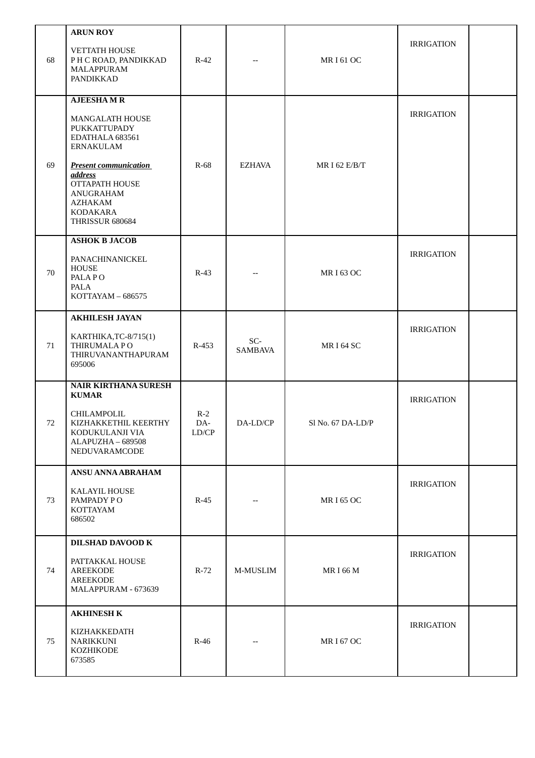| 68 | <b>ARUN ROY</b><br><b>VETTATH HOUSE</b><br>P H C ROAD, PANDIKKAD<br><b>MALAPPURAM</b><br>PANDIKKAD                                                                                                                                  | $R-42$                              |                       | <b>MRI61OC</b>    | <b>IRRIGATION</b> |  |
|----|-------------------------------------------------------------------------------------------------------------------------------------------------------------------------------------------------------------------------------------|-------------------------------------|-----------------------|-------------------|-------------------|--|
| 69 | <b>AJEESHAMR</b><br><b>MANGALATH HOUSE</b><br>PUKKATTUPADY<br>EDATHALA 683561<br><b>ERNAKULAM</b><br><b>Present communication</b><br><i>address</i><br><b>OTTAPATH HOUSE</b><br>ANUGRAHAM<br>AZHAKAM<br>KODAKARA<br>THRISSUR 680684 | $R-68$                              | <b>EZHAVA</b>         | MR I 62 E/B/T     | <b>IRRIGATION</b> |  |
| 70 | <b>ASHOK B JACOB</b><br>PANACHINANICKEL<br><b>HOUSE</b><br>PALA PO<br>PALA<br>KOTTAYAM - 686575                                                                                                                                     | $R-43$                              |                       | <b>MRI63 OC</b>   | <b>IRRIGATION</b> |  |
| 71 | <b>AKHILESH JAYAN</b><br>KARTHIKA, TC-8/715(1)<br>THIRUMALA PO<br>THIRUVANANTHAPURAM<br>695006                                                                                                                                      | $R-453$                             | SC-<br><b>SAMBAVA</b> | <b>MRI64 SC</b>   | <b>IRRIGATION</b> |  |
| 72 | <b>NAIR KIRTHANA SURESH</b><br><b>KUMAR</b><br>CHILAMPOLIL<br>KIZHAKKETHIL KEERTHY<br>KODUKULANJI VIA<br>ALAPUZHA - 689508<br>NEDUVARAMCODE                                                                                         | $R-2$<br>DA-<br>${\rm LD}/{\rm CP}$ | DA-LD/CP              | Sl No. 67 DA-LD/P | <b>IRRIGATION</b> |  |
| 73 | <b>ANSU ANNA ABRAHAM</b><br><b>KALAYIL HOUSE</b><br>PAMPADY PO<br>KOTTAYAM<br>686502                                                                                                                                                | $R-45$                              |                       | <b>MRI65 OC</b>   | <b>IRRIGATION</b> |  |
| 74 | DILSHAD DAVOOD K<br>PATTAKKAL HOUSE<br><b>AREEKODE</b><br><b>AREEKODE</b><br>MALAPPURAM - 673639                                                                                                                                    | $R-72$                              | M-MUSLIM              | <b>MRI66M</b>     | <b>IRRIGATION</b> |  |
| 75 | <b>AKHINESH K</b><br>KIZHAKKEDATH<br><b>NARIKKUNI</b><br>KOZHIKODE<br>673585                                                                                                                                                        | $R-46$                              |                       | <b>MRI67 OC</b>   | <b>IRRIGATION</b> |  |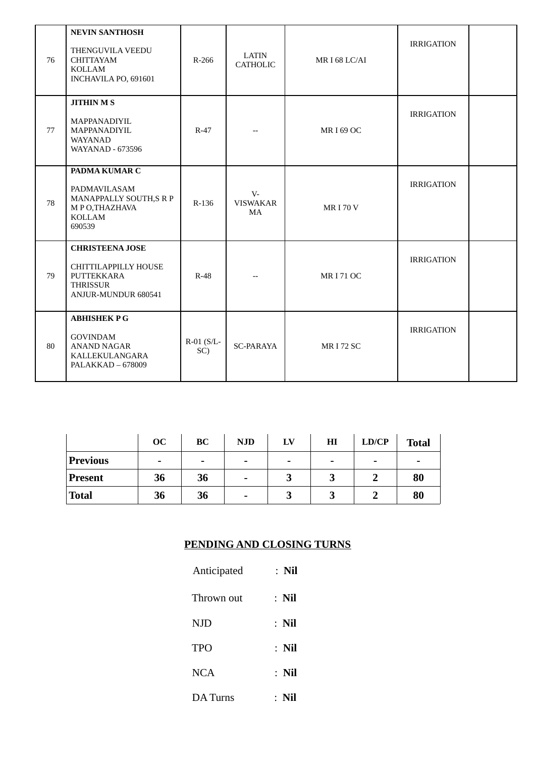| 76 | <b>NEVIN SANTHOSH</b><br>THENGUVILA VEEDU<br><b>CHITTAYAM</b><br><b>KOLLAM</b><br>INCHAVILA PO, 691601        | R-266                  | <b>LATIN</b><br><b>CATHOLIC</b> | MRI68LC/AI       | <b>IRRIGATION</b> |  |
|----|---------------------------------------------------------------------------------------------------------------|------------------------|---------------------------------|------------------|-------------------|--|
| 77 | <b>JITHIN M S</b><br>MAPPANADIYIL<br>MAPPANADIYIL<br>WAYANAD<br><b>WAYANAD - 673596</b>                       | $R-47$                 |                                 | <b>MRI69 OC</b>  | <b>IRRIGATION</b> |  |
| 78 | PADMA KUMAR C<br>PADMAVILASAM<br>MANAPPALLY SOUTH,S R P<br>M P O, THAZHAVA<br><b>KOLLAM</b><br>690539         | R-136                  | $V -$<br><b>VISWAKAR</b><br>MA  | <b>MRI70V</b>    | <b>IRRIGATION</b> |  |
| 79 | <b>CHRISTEENA JOSE</b><br>CHITTILAPPILLY HOUSE<br>PUTTEKKARA<br><b>THRISSUR</b><br><b>ANJUR-MUNDUR 680541</b> | $R-48$                 |                                 | <b>MRI 71 OC</b> | <b>IRRIGATION</b> |  |
| 80 | <b>ABHISHEK PG</b><br><b>GOVINDAM</b><br><b>ANAND NAGAR</b><br>KALLEKULANGARA<br>PALAKKAD - 678009            | $R-01$ ( $S/L-$<br>SC) | <b>SC-PARAYA</b>                | <b>MRI 72 SC</b> | <b>IRRIGATION</b> |  |

|                 | OC                       | <b>BC</b> | <b>NJD</b> | LV                       | $\mathbf{H}$ | LD/CP | <b>Total</b> |
|-----------------|--------------------------|-----------|------------|--------------------------|--------------|-------|--------------|
| <b>Previous</b> | $\overline{\phantom{0}}$ | -         | -          | $\overline{\phantom{0}}$ | -            | -     |              |
| <b>Present</b>  | 36                       | 36        | -          | רי<br>υ                  |              |       | 80           |
| 'Total          | 36                       | 36        | -          | רי<br>ω                  |              |       | 80           |

#### **PENDING AND CLOSING TURNS**

| Anticipated | $:$ Nil |
|-------------|---------|
| Thrown out  | $:$ Nil |
| <b>NJD</b>  | $:$ Nil |
| <b>TPO</b>  | $:$ Nil |
| <b>NCA</b>  | $:$ Nil |
| DA Turns    | $:$ Nil |